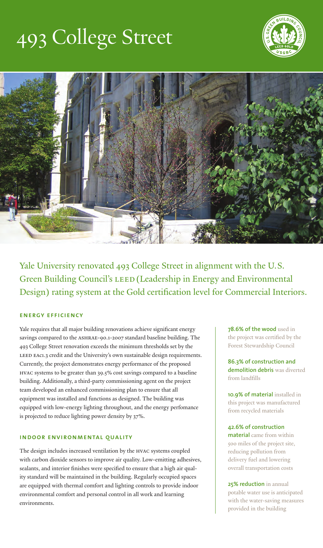# 493 College Street





Yale University renovated 493 College Street in alignment with the U.S. Green Building Council's LEED (Leadership in Energy and Environmental Design) rating system at the Gold certification level for Commercial Interiors.

# **energy efficiency**

Yale requires that all major building renovations achieve significant energy savings compared to the ASHRAE-90.1-2007 standard baseline building. The 493 College Street renovation exceeds the minimum thresholds set by the LEED EAc1.3 credit and the University's own sustainable design requirements. Currently, the project demonstrates energy performance of the proposed HVAC systems to be greater than 39.5% cost savings compared to a baseline building. Additionally, a third-party commissioning agent on the project team developed an enhanced commissioning plan to ensure that all equipment was installed and functions as designed. The building was equipped with low-energy lighting throughout, and the energy perfomance is projected to reduce lighting power density by 37%.

#### **indoor environmental quality**

The design includes increased ventilation by the HVAC systems coupled with carbon dioxide sensors to improve air quality. Low-emitting adhesives, sealants, and interior finishes were specified to ensure that a high air quality standard will be maintained in the building. Regularly occupied spaces are equipped with thermal comfort and lighting controls to provide indoor environmental comfort and personal control in all work and learning environments.

**78.6% of the wood** used in the project was certified by the Forest Stewardship Council

**86.3% of construction and demolition debris** was diverted from landfills

**10.9% of material** installed in this project was manufactured from recycled materials

#### **42.6% of construction**

**material** came from within 500 miles of the project site, reducing pollution from delivery fuel and lowering overall transportation costs

**25% reduction** in annual potable water use is anticipated with the water-saving measures provided in the building